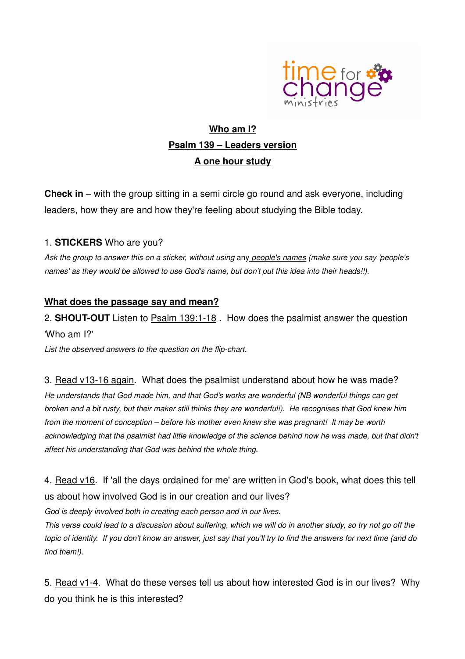

# **Who am I? Psalm 139 – Leaders version A one hour study**

**Check in** – with the group sitting in a semi circle go round and ask everyone, including leaders, how they are and how they're feeling about studying the Bible today.

### 1. **STICKERS** Who are you?

Ask the group to answer this on a sticker, without using any people's names (make sure you say 'people's names' as they would be allowed to use God's name, but don't put this idea into their heads!!).

### **What does the passage say and mean?**

2. **SHOUT-OUT** Listen to Psalm 139:1-18 . How does the psalmist answer the question 'Who am I?'

List the observed answers to the question on the flip-chart.

#### 3. Read v13-16 again. What does the psalmist understand about how he was made?

He understands that God made him, and that God's works are wonderful (NB wonderful things can get broken and a bit rusty, but their maker still thinks they are wonderful!). He recognises that God knew him from the moment of conception – before his mother even knew she was pregnant! It may be worth acknowledging that the psalmist had little knowledge of the science behind how he was made, but that didn't affect his understanding that God was behind the whole thing.

4. Read v16. If 'all the days ordained for me' are written in God's book, what does this tell us about how involved God is in our creation and our lives?

God is deeply involved both in creating each person and in our lives.

This verse could lead to a discussion about suffering, which we will do in another study, so try not go off the topic of identity. If you don't know an answer, just say that you'll try to find the answers for next time (and do find them!).

5. Read v1-4. What do these verses tell us about how interested God is in our lives? Why do you think he is this interested?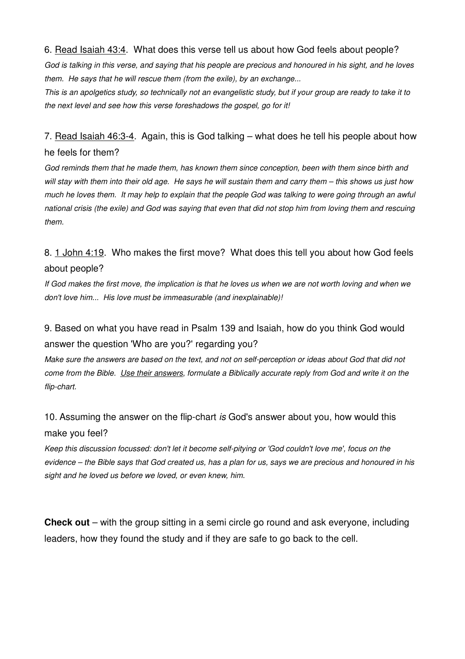#### 6. Read Isaiah 43:4. What does this verse tell us about how God feels about people?

God is talking in this verse, and saying that his people are precious and honoured in his sight, and he loves them. He says that he will rescue them (from the exile), by an exchange...

This is an apolgetics study, so technically not an evangelistic study, but if your group are ready to take it to the next level and see how this verse foreshadows the gospel, go for it!

## 7. Read Isaiah 46:3-4. Again, this is God talking – what does he tell his people about how he feels for them?

God reminds them that he made them, has known them since conception, been with them since birth and will stay with them into their old age. He says he will sustain them and carry them – this shows us just how much he loves them. It may help to explain that the people God was talking to were going through an awful national crisis (the exile) and God was saying that even that did not stop him from loving them and rescuing them.

## 8. 1 John 4:19. Who makes the first move? What does this tell you about how God feels about people?

If God makes the first move, the implication is that he loves us when we are not worth loving and when we don't love him... His love must be immeasurable (and inexplainable)!

## 9. Based on what you have read in Psalm 139 and Isaiah, how do you think God would answer the question 'Who are you?' regarding you?

Make sure the answers are based on the text, and not on self-perception or ideas about God that did not come from the Bible. Use their answers, formulate a Biblically accurate reply from God and write it on the flip-chart.

# 10. Assuming the answer on the flip-chart is God's answer about you, how would this make you feel?

Keep this discussion focussed: don't let it become self-pitying or 'God couldn't love me', focus on the evidence – the Bible says that God created us, has a plan for us, says we are precious and honoured in his sight and he loved us before we loved, or even knew, him.

**Check out** – with the group sitting in a semi circle go round and ask everyone, including leaders, how they found the study and if they are safe to go back to the cell.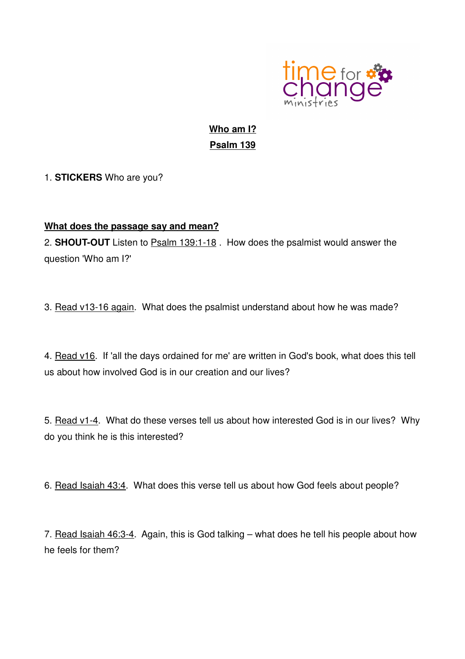

# **Who am I? Psalm 139**

1. **STICKERS** Who are you?

### **What does the passage say and mean?**

2. **SHOUT-OUT** Listen to Psalm 139:1-18 . How does the psalmist would answer the question 'Who am I?'

3. Read v13-16 again. What does the psalmist understand about how he was made?

4. Read v16. If 'all the days ordained for me' are written in God's book, what does this tell us about how involved God is in our creation and our lives?

5. Read v1-4. What do these verses tell us about how interested God is in our lives? Why do you think he is this interested?

6. Read Isaiah 43:4. What does this verse tell us about how God feels about people?

7. Read Isaiah 46:3-4. Again, this is God talking – what does he tell his people about how he feels for them?